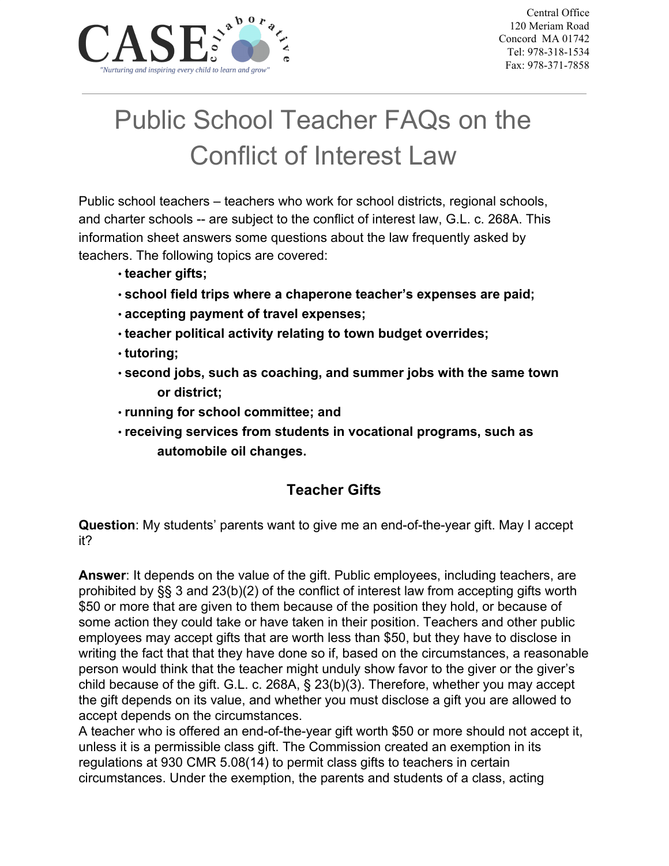

# Public School Teacher FAQs on the Conflict of Interest Law

Public school teachers – teachers who work for school districts, regional schools, and charter schools -- are subject to the conflict of interest law, G.L. c. 268A. This information sheet answers some questions about the law frequently asked by teachers. The following topics are covered:

- **teacher gifts;**
- **school field trips where a chaperone teacher's expenses are paid;**
- **accepting payment of travel expenses;**
- **teacher political activity relating to town budget overrides;**
- **tutoring;**
- **second jobs, such as coaching, and summer jobs with the same town or district;**
- **running for school committee; and**
- **receiving services from students in vocational programs, such as automobile oil changes.**

## **Teacher Gifts**

**Question**: My students' parents want to give me an end-of-the-year gift. May I accept it?

**Answer**: It depends on the value of the gift. Public employees, including teachers, are prohibited by §§ 3 and 23(b)(2) of the conflict of interest law from accepting gifts worth \$50 or more that are given to them because of the position they hold, or because of some action they could take or have taken in their position. Teachers and other public employees may accept gifts that are worth less than \$50, but they have to disclose in writing the fact that that they have done so if, based on the circumstances, a reasonable person would think that the teacher might unduly show favor to the giver or the giver's child because of the gift. G.L. c. 268A, § 23(b)(3). Therefore, whether you may accept the gift depends on its value, and whether you must disclose a gift you are allowed to accept depends on the circumstances.

A teacher who is offered an end-of-the-year gift worth \$50 or more should not accept it, unless it is a permissible class gift. The Commission created an exemption in its regulations at 930 CMR 5.08(14) to permit class gifts to teachers in certain circumstances. Under the exemption, the parents and students of a class, acting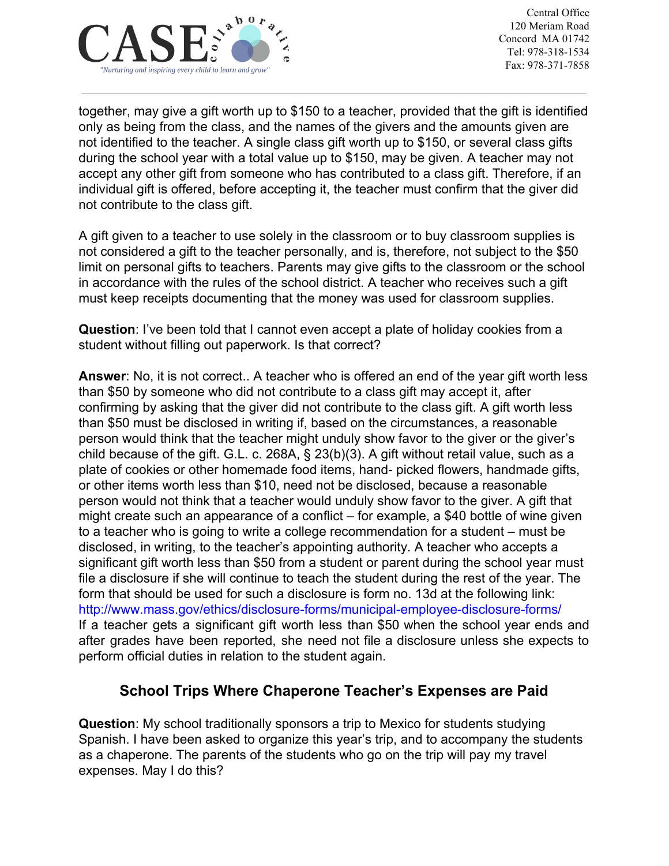

together, may give a gift worth up to \$150 to a teacher, provided that the gift is identified only as being from the class, and the names of the givers and the amounts given are not identified to the teacher. A single class gift worth up to \$150, or several class gifts during the school year with a total value up to \$150, may be given. A teacher may not accept any other gift from someone who has contributed to a class gift. Therefore, if an individual gift is offered, before accepting it, the teacher must confirm that the giver did not contribute to the class gift.

A gift given to a teacher to use solely in the classroom or to buy classroom supplies is not considered a gift to the teacher personally, and is, therefore, not subject to the \$50 limit on personal gifts to teachers. Parents may give gifts to the classroom or the school in accordance with the rules of the school district. A teacher who receives such a gift must keep receipts documenting that the money was used for classroom supplies.

**Question**: I've been told that I cannot even accept a plate of holiday cookies from a student without filling out paperwork. Is that correct?

**Answer**: No, it is not correct.. A teacher who is offered an end of the year gift worth less than \$50 by someone who did not contribute to a class gift may accept it, after confirming by asking that the giver did not contribute to the class gift. A gift worth less than \$50 must be disclosed in writing if, based on the circumstances, a reasonable person would think that the teacher might unduly show favor to the giver or the giver's child because of the gift. G.L. c. 268A, § 23(b)(3). A gift without retail value, such as a plate of cookies or other homemade food items, hand- picked flowers, handmade gifts, or other items worth less than \$10, need not be disclosed, because a reasonable person would not think that a teacher would unduly show favor to the giver. A gift that might create such an appearance of a conflict – for example, a \$40 bottle of wine given to a teacher who is going to write a college recommendation for a student – must be disclosed, in writing, to the teacher's appointing authority. A teacher who accepts a significant gift worth less than \$50 from a student or parent during the school year must file a disclosure if she will continue to teach the student during the rest of the year. The form that should be used for such a disclosure is form no. 13d at the following link: http://www.mass.gov/ethics/disclosure-forms/municipal-employee-disclosure-forms/ If a teacher gets a significant gift worth less than \$50 when the school year ends and after grades have been reported, she need not file a disclosure unless she expects to perform official duties in relation to the student again.

#### **School Trips Where Chaperone Teacher's Expenses are Paid**

**Question**: My school traditionally sponsors a trip to Mexico for students studying Spanish. I have been asked to organize this year's trip, and to accompany the students as a chaperone. The parents of the students who go on the trip will pay my travel expenses. May I do this?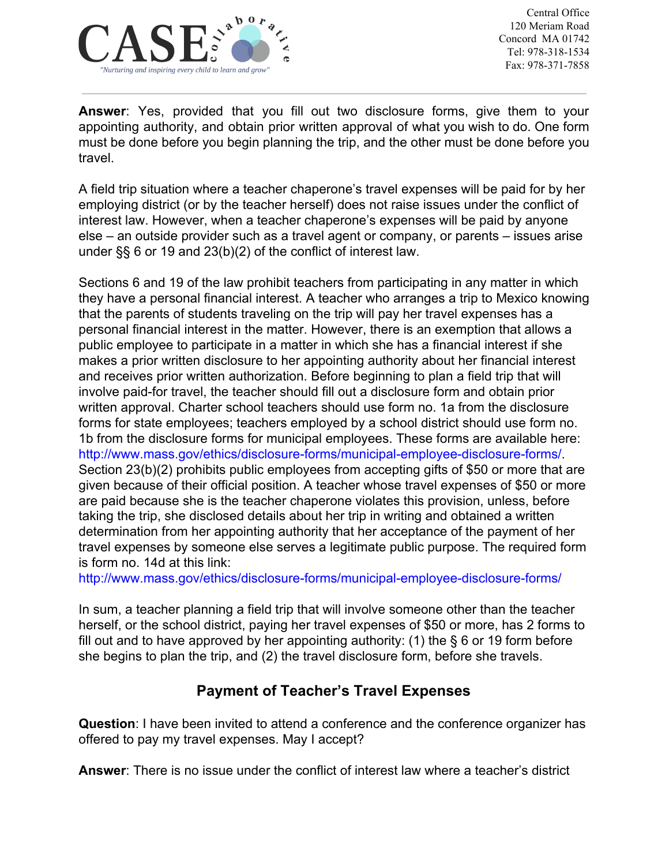

**Answer**: Yes, provided that you fill out two disclosure forms, give them to your appointing authority, and obtain prior written approval of what you wish to do. One form must be done before you begin planning the trip, and the other must be done before you travel.

A field trip situation where a teacher chaperone's travel expenses will be paid for by her employing district (or by the teacher herself) does not raise issues under the conflict of interest law. However, when a teacher chaperone's expenses will be paid by anyone else – an outside provider such as a travel agent or company, or parents – issues arise under §§ 6 or 19 and 23(b)(2) of the conflict of interest law.

Sections 6 and 19 of the law prohibit teachers from participating in any matter in which they have a personal financial interest. A teacher who arranges a trip to Mexico knowing that the parents of students traveling on the trip will pay her travel expenses has a personal financial interest in the matter. However, there is an exemption that allows a public employee to participate in a matter in which she has a financial interest if she makes a prior written disclosure to her appointing authority about her financial interest and receives prior written authorization. Before beginning to plan a field trip that will involve paid-for travel, the teacher should fill out a disclosure form and obtain prior written approval. Charter school teachers should use form no. 1a from the disclosure forms for state employees; teachers employed by a school district should use form no. 1b from the disclosure forms for municipal employees. These forms are available here: http://www.mass.gov/ethics/disclosure-forms/municipal-employee-disclosure-forms/. Section 23(b)(2) prohibits public employees from accepting gifts of \$50 or more that are given because of their official position. A teacher whose travel expenses of \$50 or more are paid because she is the teacher chaperone violates this provision, unless, before taking the trip, she disclosed details about her trip in writing and obtained a written determination from her appointing authority that her acceptance of the payment of her travel expenses by someone else serves a legitimate public purpose. The required form is form no. 14d at this link:

http://www.mass.gov/ethics/disclosure-forms/municipal-employee-disclosure-forms/

In sum, a teacher planning a field trip that will involve someone other than the teacher herself, or the school district, paying her travel expenses of \$50 or more, has 2 forms to fill out and to have approved by her appointing authority: (1) the  $\S$  6 or 19 form before she begins to plan the trip, and (2) the travel disclosure form, before she travels.

## **Payment of Teacher's Travel Expenses**

**Question**: I have been invited to attend a conference and the conference organizer has offered to pay my travel expenses. May I accept?

**Answer**: There is no issue under the conflict of interest law where a teacher's district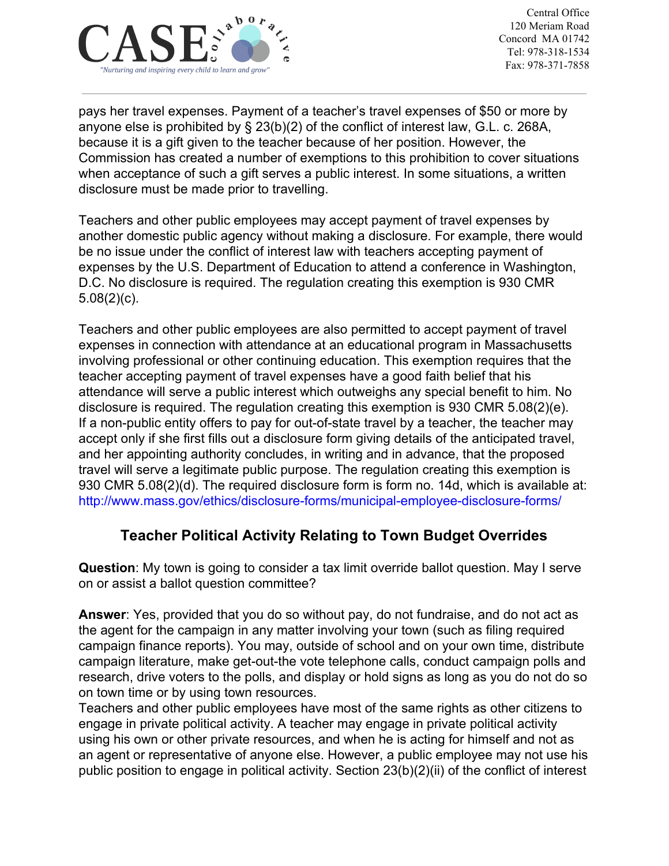

pays her travel expenses. Payment of a teacher's travel expenses of \$50 or more by anyone else is prohibited by § 23(b)(2) of the conflict of interest law, G.L. c. 268A, because it is a gift given to the teacher because of her position. However, the Commission has created a number of exemptions to this prohibition to cover situations when acceptance of such a gift serves a public interest. In some situations, a written disclosure must be made prior to travelling.

Teachers and other public employees may accept payment of travel expenses by another domestic public agency without making a disclosure. For example, there would be no issue under the conflict of interest law with teachers accepting payment of expenses by the U.S. Department of Education to attend a conference in Washington, D.C. No disclosure is required. The regulation creating this exemption is 930 CMR 5.08(2)(c).

Teachers and other public employees are also permitted to accept payment of travel expenses in connection with attendance at an educational program in Massachusetts involving professional or other continuing education. This exemption requires that the teacher accepting payment of travel expenses have a good faith belief that his attendance will serve a public interest which outweighs any special benefit to him. No disclosure is required. The regulation creating this exemption is 930 CMR 5.08(2)(e). If a non-public entity offers to pay for out-of-state travel by a teacher, the teacher may accept only if she first fills out a disclosure form giving details of the anticipated travel, and her appointing authority concludes, in writing and in advance, that the proposed travel will serve a legitimate public purpose. The regulation creating this exemption is 930 CMR 5.08(2)(d). The required disclosure form is form no. 14d, which is available at: http://www.mass.gov/ethics/disclosure-forms/municipal-employee-disclosure-forms/

#### **Teacher Political Activity Relating to Town Budget Overrides**

**Question**: My town is going to consider a tax limit override ballot question. May I serve on or assist a ballot question committee?

**Answer**: Yes, provided that you do so without pay, do not fundraise, and do not act as the agent for the campaign in any matter involving your town (such as filing required campaign finance reports). You may, outside of school and on your own time, distribute campaign literature, make get-out-the vote telephone calls, conduct campaign polls and research, drive voters to the polls, and display or hold signs as long as you do not do so on town time or by using town resources.

Teachers and other public employees have most of the same rights as other citizens to engage in private political activity. A teacher may engage in private political activity using his own or other private resources, and when he is acting for himself and not as an agent or representative of anyone else. However, a public employee may not use his public position to engage in political activity. Section 23(b)(2)(ii) of the conflict of interest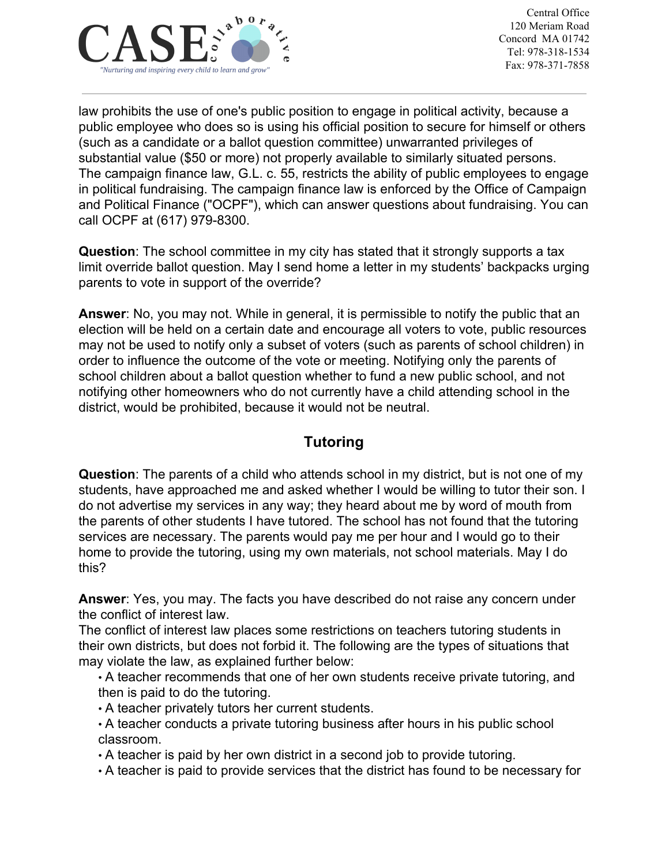

law prohibits the use of one's public position to engage in political activity, because a public employee who does so is using his official position to secure for himself or others (such as a candidate or a ballot question committee) unwarranted privileges of substantial value (\$50 or more) not properly available to similarly situated persons. The campaign finance law, G.L. c. 55, restricts the ability of public employees to engage in political fundraising. The campaign finance law is enforced by the Office of Campaign and Political Finance ("OCPF"), which can answer questions about fundraising. You can call OCPF at (617) 979-8300.

**Question**: The school committee in my city has stated that it strongly supports a tax limit override ballot question. May I send home a letter in my students' backpacks urging parents to vote in support of the override?

**Answer**: No, you may not. While in general, it is permissible to notify the public that an election will be held on a certain date and encourage all voters to vote, public resources may not be used to notify only a subset of voters (such as parents of school children) in order to influence the outcome of the vote or meeting. Notifying only the parents of school children about a ballot question whether to fund a new public school, and not notifying other homeowners who do not currently have a child attending school in the district, would be prohibited, because it would not be neutral.

## **Tutoring**

**Question**: The parents of a child who attends school in my district, but is not one of my students, have approached me and asked whether I would be willing to tutor their son. I do not advertise my services in any way; they heard about me by word of mouth from the parents of other students I have tutored. The school has not found that the tutoring services are necessary. The parents would pay me per hour and I would go to their home to provide the tutoring, using my own materials, not school materials. May I do this?

**Answer**: Yes, you may. The facts you have described do not raise any concern under the conflict of interest law.

The conflict of interest law places some restrictions on teachers tutoring students in their own districts, but does not forbid it. The following are the types of situations that may violate the law, as explained further below:

• A teacher recommends that one of her own students receive private tutoring, and then is paid to do the tutoring.

• A teacher privately tutors her current students.

• A teacher conducts a private tutoring business after hours in his public school classroom.

• A teacher is paid by her own district in a second job to provide tutoring.

• A teacher is paid to provide services that the district has found to be necessary for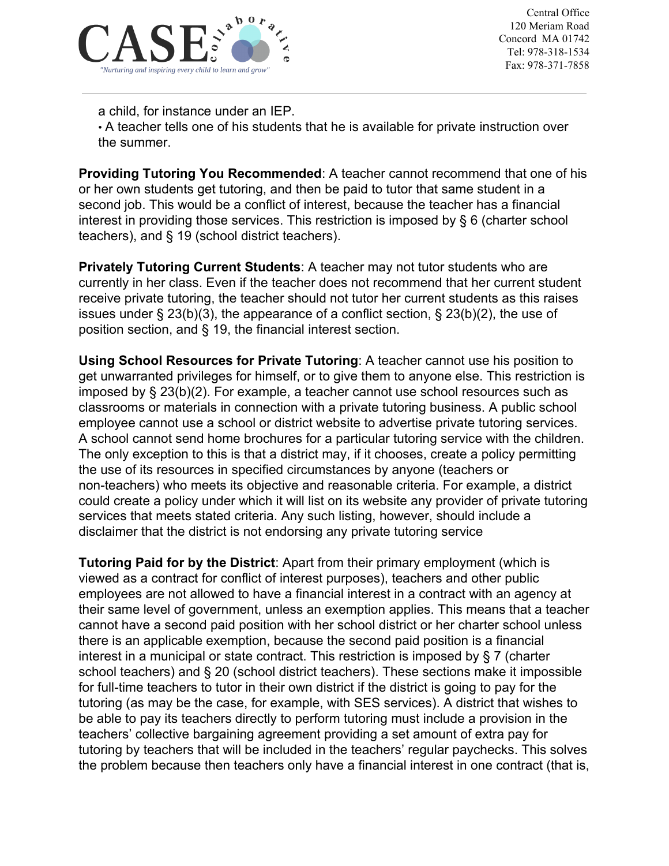

a child, for instance under an IEP.

• A teacher tells one of his students that he is available for private instruction over the summer.

**Providing Tutoring You Recommended**: A teacher cannot recommend that one of his or her own students get tutoring, and then be paid to tutor that same student in a second job. This would be a conflict of interest, because the teacher has a financial interest in providing those services. This restriction is imposed by § 6 (charter school teachers), and § 19 (school district teachers).

**Privately Tutoring Current Students**: A teacher may not tutor students who are currently in her class. Even if the teacher does not recommend that her current student receive private tutoring, the teacher should not tutor her current students as this raises issues under § 23(b)(3), the appearance of a conflict section, § 23(b)(2), the use of position section, and § 19, the financial interest section.

**Using School Resources for Private Tutoring**: A teacher cannot use his position to get unwarranted privileges for himself, or to give them to anyone else. This restriction is imposed by § 23(b)(2). For example, a teacher cannot use school resources such as classrooms or materials in connection with a private tutoring business. A public school employee cannot use a school or district website to advertise private tutoring services. A school cannot send home brochures for a particular tutoring service with the children. The only exception to this is that a district may, if it chooses, create a policy permitting the use of its resources in specified circumstances by anyone (teachers or non-teachers) who meets its objective and reasonable criteria. For example, a district could create a policy under which it will list on its website any provider of private tutoring services that meets stated criteria. Any such listing, however, should include a disclaimer that the district is not endorsing any private tutoring service

**Tutoring Paid for by the District**: Apart from their primary employment (which is viewed as a contract for conflict of interest purposes), teachers and other public employees are not allowed to have a financial interest in a contract with an agency at their same level of government, unless an exemption applies. This means that a teacher cannot have a second paid position with her school district or her charter school unless there is an applicable exemption, because the second paid position is a financial interest in a municipal or state contract. This restriction is imposed by § 7 (charter school teachers) and § 20 (school district teachers). These sections make it impossible for full-time teachers to tutor in their own district if the district is going to pay for the tutoring (as may be the case, for example, with SES services). A district that wishes to be able to pay its teachers directly to perform tutoring must include a provision in the teachers' collective bargaining agreement providing a set amount of extra pay for tutoring by teachers that will be included in the teachers' regular paychecks. This solves the problem because then teachers only have a financial interest in one contract (that is,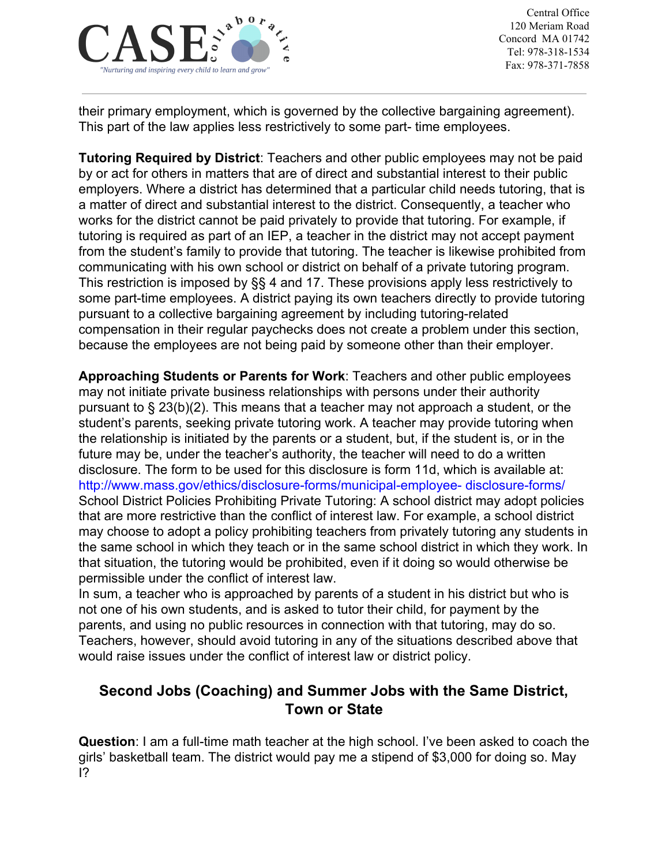

their primary employment, which is governed by the collective bargaining agreement). This part of the law applies less restrictively to some part- time employees.

**Tutoring Required by District**: Teachers and other public employees may not be paid by or act for others in matters that are of direct and substantial interest to their public employers. Where a district has determined that a particular child needs tutoring, that is a matter of direct and substantial interest to the district. Consequently, a teacher who works for the district cannot be paid privately to provide that tutoring. For example, if tutoring is required as part of an IEP, a teacher in the district may not accept payment from the student's family to provide that tutoring. The teacher is likewise prohibited from communicating with his own school or district on behalf of a private tutoring program. This restriction is imposed by §§ 4 and 17. These provisions apply less restrictively to some part-time employees. A district paying its own teachers directly to provide tutoring pursuant to a collective bargaining agreement by including tutoring-related compensation in their regular paychecks does not create a problem under this section, because the employees are not being paid by someone other than their employer.

**Approaching Students or Parents for Work**: Teachers and other public employees may not initiate private business relationships with persons under their authority pursuant to § 23(b)(2). This means that a teacher may not approach a student, or the student's parents, seeking private tutoring work. A teacher may provide tutoring when the relationship is initiated by the parents or a student, but, if the student is, or in the future may be, under the teacher's authority, the teacher will need to do a written disclosure. The form to be used for this disclosure is form 11d, which is available at: http://www.mass.gov/ethics/disclosure-forms/municipal-employee- disclosure-forms/ School District Policies Prohibiting Private Tutoring: A school district may adopt policies that are more restrictive than the conflict of interest law. For example, a school district may choose to adopt a policy prohibiting teachers from privately tutoring any students in the same school in which they teach or in the same school district in which they work. In that situation, the tutoring would be prohibited, even if it doing so would otherwise be permissible under the conflict of interest law.

In sum, a teacher who is approached by parents of a student in his district but who is not one of his own students, and is asked to tutor their child, for payment by the parents, and using no public resources in connection with that tutoring, may do so. Teachers, however, should avoid tutoring in any of the situations described above that would raise issues under the conflict of interest law or district policy.

### **Second Jobs (Coaching) and Summer Jobs with the Same District, Town or State**

**Question**: I am a full-time math teacher at the high school. I've been asked to coach the girls' basketball team. The district would pay me a stipend of \$3,000 for doing so. May I?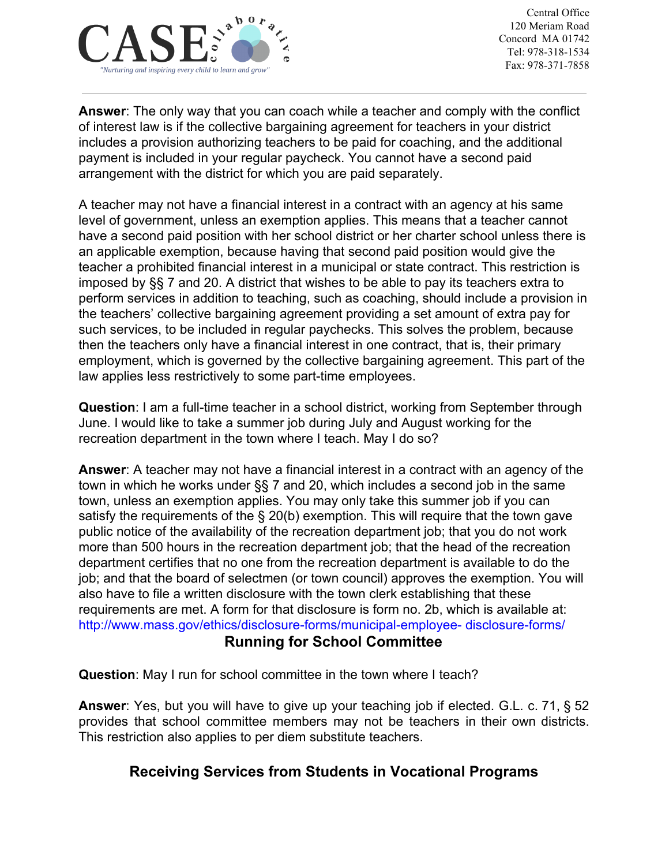

**Answer**: The only way that you can coach while a teacher and comply with the conflict of interest law is if the collective bargaining agreement for teachers in your district includes a provision authorizing teachers to be paid for coaching, and the additional payment is included in your regular paycheck. You cannot have a second paid arrangement with the district for which you are paid separately.

A teacher may not have a financial interest in a contract with an agency at his same level of government, unless an exemption applies. This means that a teacher cannot have a second paid position with her school district or her charter school unless there is an applicable exemption, because having that second paid position would give the teacher a prohibited financial interest in a municipal or state contract. This restriction is imposed by §§ 7 and 20. A district that wishes to be able to pay its teachers extra to perform services in addition to teaching, such as coaching, should include a provision in the teachers' collective bargaining agreement providing a set amount of extra pay for such services, to be included in regular paychecks. This solves the problem, because then the teachers only have a financial interest in one contract, that is, their primary employment, which is governed by the collective bargaining agreement. This part of the law applies less restrictively to some part-time employees.

**Question**: I am a full-time teacher in a school district, working from September through June. I would like to take a summer job during July and August working for the recreation department in the town where I teach. May I do so?

**Answer**: A teacher may not have a financial interest in a contract with an agency of the town in which he works under §§ 7 and 20, which includes a second job in the same town, unless an exemption applies. You may only take this summer job if you can satisfy the requirements of the § 20(b) exemption. This will require that the town gave public notice of the availability of the recreation department job; that you do not work more than 500 hours in the recreation department job; that the head of the recreation department certifies that no one from the recreation department is available to do the job; and that the board of selectmen (or town council) approves the exemption. You will also have to file a written disclosure with the town clerk establishing that these requirements are met. A form for that disclosure is form no. 2b, which is available at: http://www.mass.gov/ethics/disclosure-forms/municipal-employee- disclosure-forms/

#### **Running for School Committee**

**Question**: May I run for school committee in the town where I teach?

**Answer**: Yes, but you will have to give up your teaching job if elected. G.L. c. 71, § 52 provides that school committee members may not be teachers in their own districts. This restriction also applies to per diem substitute teachers.

## **Receiving Services from Students in Vocational Programs**